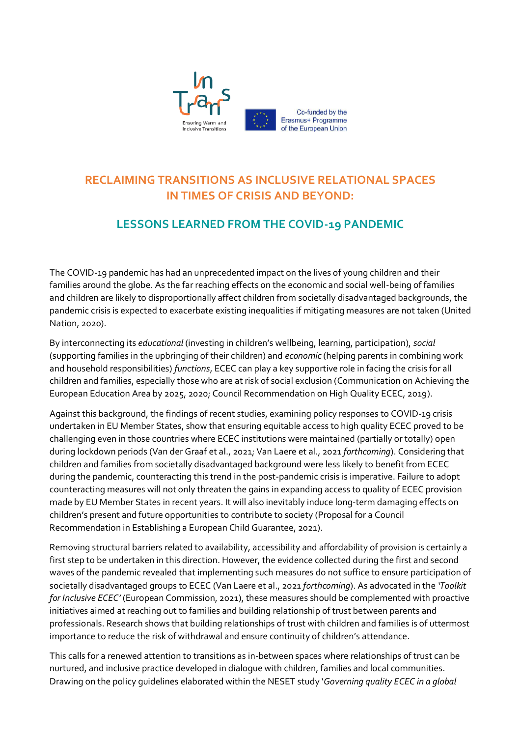

## **RECLAIMING TRANSITIONS AS INCLUSIVE RELATIONAL SPACES IN TIMES OF CRISIS AND BEYOND:**

## **LESSONS LEARNED FROM THE COVID-19 PANDEMIC**

The COVID-19 pandemic has had an unprecedented impact on the lives of young children and their families around the globe. As the far reaching effects on the economic and social well-being of families and children are likely to disproportionally affect children from societally disadvantaged backgrounds, the pandemic crisis is expected to exacerbate existing inequalities if mitigating measures are not taken (United Nation, 2020).

By interconnecting its *educational* (investing in children's wellbeing, learning, participation), *social* (supporting families in the upbringing of their children) and *economic* (helping parents in combining work and household responsibilities) *functions*, ECEC can play a key supportive role in facing the crisis for all children and families, especially those who are at risk of social exclusion (Communication on Achieving the European Education Area by 2025, 2020; Council Recommendation on High Quality ECEC, 2019).

Against this background, the findings of recent studies, examining policy responses to COVID-19 crisis undertaken in EU Member States, show that ensuring equitable access to high quality ECEC proved to be challenging even in those countries where ECEC institutions were maintained (partially or totally) open during lockdown periods (Van der Graaf et al., 2021; Van Laere et al., 2021 *forthcoming*). Considering that children and families from societally disadvantaged background were less likely to benefit from ECEC during the pandemic, counteracting this trend in the post-pandemic crisis is imperative. Failure to adopt counteracting measures will not only threaten the gains in expanding access to quality of ECEC provision made by EU Member States in recent years. It will also inevitably induce long-term damaging effects on children's present and future opportunities to contribute to society (Proposal for a Council Recommendation in Establishing a European Child Guarantee, 2021).

Removing structural barriers related to availability, accessibility and affordability of provision is certainly a first step to be undertaken in this direction. However, the evidence collected during the first and second waves of the pandemic revealed that implementing such measures do not suffice to ensure participation of societally disadvantaged groups to ECEC (Van Laere et al., 2021 *forthcoming*). As advocated in the *'Toolkit for Inclusive ECEC'* (European Commission, 2021), these measures should be complemented with proactive initiatives aimed at reaching out to families and building relationship of trust between parents and professionals. Research shows that building relationships of trust with children and families is of uttermost importance to reduce the risk of withdrawal and ensure continuity of children's attendance.

This calls for a renewed attention to transitions as in-between spaces where relationships of trust can be nurtured, and inclusive practice developed in dialogue with children, families and local communities. Drawing on the policy guidelines elaborated within the NESET study '*Governing quality ECEC in a global*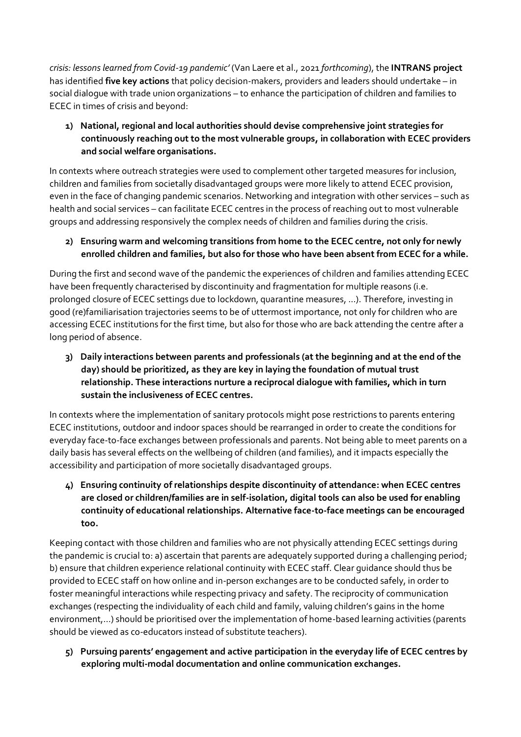*crisis: lessons learned from Covid-19 pandemic'* (Van Laere et al., 2021 *forthcoming*), the **INTRANS project** has identified **five key actions** that policy decision-makers, providers and leaders should undertake – in social dialogue with trade union organizations – to enhance the participation of children and families to ECEC in times of crisis and beyond:

**1) National, regional and local authorities should devise comprehensive joint strategies for continuously reaching out to the most vulnerable groups, in collaboration with ECEC providers and social welfare organisations.** 

In contexts where outreach strategies were used to complement other targeted measures for inclusion, children and families from societally disadvantaged groups were more likely to attend ECEC provision, even in the face of changing pandemic scenarios. Networking and integration with other services – such as health and social services – can facilitate ECEC centres in the process of reaching out to most vulnerable groups and addressing responsively the complex needs of children and families during the crisis.

## **2) Ensuring warm and welcoming transitions from home to the ECEC centre, not only for newly enrolled children and families, but also for those who have been absent from ECEC for a while.**

During the first and second wave of the pandemic the experiences of children and families attending ECEC have been frequently characterised by discontinuity and fragmentation for multiple reasons (i.e. prolonged closure of ECEC settings due to lockdown, quarantine measures, ...). Therefore, investing in good (re)familiarisation trajectories seems to be of uttermost importance, not only for children who are accessing ECEC institutions for the first time, but also for those who are back attending the centre after a long period of absence.

**3) Daily interactions between parents and professionals (at the beginning and at the end of the day) should be prioritized, as they are key in laying the foundation of mutual trust relationship. These interactions nurture a reciprocal dialogue with families, which in turn sustain the inclusiveness of ECEC centres.**

In contexts where the implementation of sanitary protocols might pose restrictions to parents entering ECEC institutions, outdoor and indoor spaces should be rearranged in order to create the conditions for everyday face-to-face exchanges between professionals and parents. Not being able to meet parents on a daily basis has several effects on the wellbeing of children (and families), and it impacts especially the accessibility and participation of more societally disadvantaged groups.

**4) Ensuring continuity of relationships despite discontinuity of attendance: when ECEC centres are closed or children/families are in self-isolation, digital tools can also be used for enabling continuity of educational relationships. Alternative face-to-face meetings can be encouraged too.**

Keeping contact with those children and families who are not physically attending ECEC settings during the pandemic is crucial to: a) ascertain that parents are adequately supported during a challenging period; b) ensure that children experience relational continuity with ECEC staff. Clear guidance should thus be provided to ECEC staff on how online and in-person exchanges are to be conducted safely, in order to foster meaningful interactions while respecting privacy and safety. The reciprocity of communication exchanges (respecting the individuality of each child and family, valuing children's gains in the home environment,…) should be prioritised over the implementation of home-based learning activities (parents should be viewed as co-educators instead of substitute teachers).

**5) Pursuing parents' engagement and active participation in the everyday life of ECEC centres by exploring multi-modal documentation and online communication exchanges.**